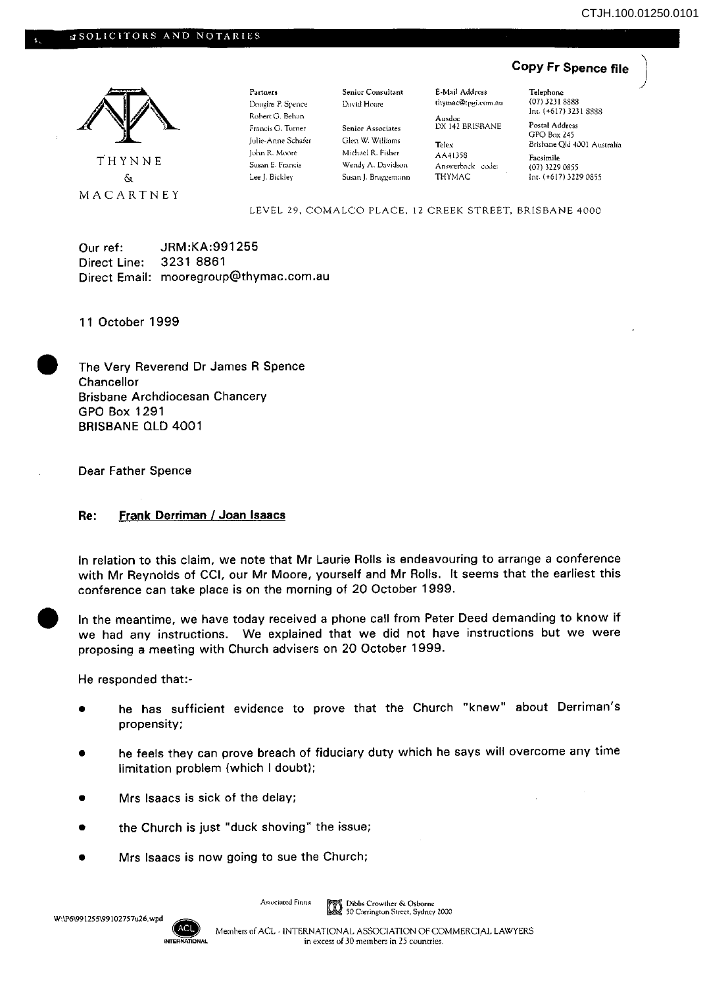## **Copy Fr Spence file**



THYNNE & MACARTNEY Partners Douglas P. Spence Rohert G. Behan Francis G. Turner Julie-Anne Schafer John R. Moore Susan E. Francis Lee J. Bickley

Seniur Consultant David Hoare

Senior Associates Glen W. Williams Michael R. Fisher Wendy A. Davidsun Susan J. Bruggemann

E-Mail Address thymac@tpgi.com.au

Ausdoc OX 142 BRISBANE Telex AA41358

Answerback code: THYMAC

Telephone (07) 3231 *88R8*  Int. (+617) 3231 8888 Postal Address

GPO Box *l45*  Brisbane Qld 4001 Australia Facsimile

(07) 32290855 Int. (+617) 3229 0855

LEVEL 29. COMALCO PLACE. 12 CREEK STREET, BRISBANE 4000

Our ref: JRM:KA:991255 Direct Line: 3231 8861 Direct Email: mooregroup@thymac.com.au

11 October 1999

• The Very Reverend Dr James R Spence **Chancellor** Brisbane Archdiocesan Chancery GPO Box 1291 BRISBANE OLD 4001

Dear Father Spence

## Re: Frank Derriman / Joan Isaacs

In relation to this claim, we note that Mr Laurie Rolls is endeavouring to arrange a conference with Mr Reynolds of CCI, our Mr Moore, yourself and Mr Rolls, It seems that the earliest this conference can take place is on the morning of 20 October 1999.

• In the meantime, we have today received a phone call from Peter Deed demanding to know if we had any instructions. We explained that we did not have instructions but we were proposing a meeting with Church advisers on 20 October 1999.

He responded that:-

- he has sufficient evidence to prove that the Church "knew" about Derriman's propensity;
- he feels they can prove breach of fiduciary duty which he says will overcome any time limitation problem (which I doubt);
- Mrs Isaacs is sick of the delay;
- the Church is just "duck shoving" the issue;
- Mrs Isaacs is now going to sue the Church;

Associated Firms: Dibbs Crowther & Osborne 50 Carrington Street, Sydney 2000